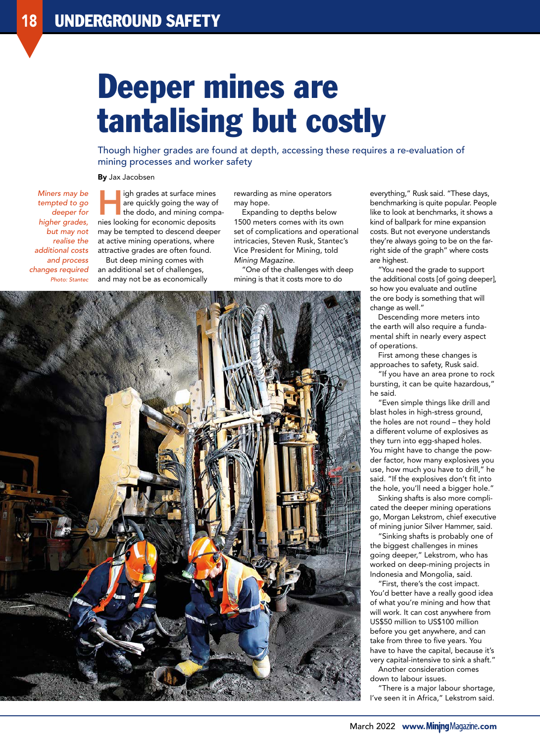## Deeper mines are tantalising but costly

Though higher grades are found at depth, accessing these requires a re-evaluation of mining processes and worker safety

By Jax Jacobsen

*Miners may be tempted to go deeper for higher grades, but may not realise the additional costs and process changes required Photo: Stantec*

igh grades at surface mines are quickly going the way of the dodo, and mining companies looking for economic deposits may be tempted to descend deeper at active mining operations, where attractive grades are often found.

But deep mining comes with an additional set of challenges, and may not be as economically rewarding as mine operators may hope.

Expanding to depths below 1500 meters comes with its own set of complications and operational intricacies, Steven Rusk, Stantec's Vice President for Mining, told *Mining Magazine*.

"One of the challenges with deep mining is that it costs more to do



everything," Rusk said. "These days, benchmarking is quite popular. People like to look at benchmarks, it shows a kind of ballpark for mine expansion costs. But not everyone understands they're always going to be on the farright side of the graph" where costs are highest.

"You need the grade to support the additional costs [of going deeper], so how you evaluate and outline the ore body is something that will change as well."

Descending more meters into the earth will also require a fundamental shift in nearly every aspect of operations.

First among these changes is approaches to safety, Rusk said.

"If you have an area prone to rock bursting, it can be quite hazardous," he said.

"Even simple things like drill and blast holes in high-stress ground, the holes are not round – they hold a different volume of explosives as they turn into egg-shaped holes. You might have to change the powder factor, how many explosives you use, how much you have to drill," he said. "If the explosives don't fit into the hole, you'll need a bigger hole."

Sinking shafts is also more complicated the deeper mining operations go, Morgan Lekstrom, chief executive of mining junior Silver Hammer, said.

"Sinking shafts is probably one of the biggest challenges in mines going deeper," Lekstrom, who has worked on deep-mining projects in Indonesia and Mongolia, said.

"First, there's the cost impact. You'd better have a really good idea of what you're mining and how that will work. It can cost anywhere from US\$50 million to US\$100 million before you get anywhere, and can take from three to five years. You have to have the capital, because it's very capital-intensive to sink a shaft."

Another consideration comes down to labour issues.

"There is a major labour shortage, I've seen it in Africa," Lekstrom said.